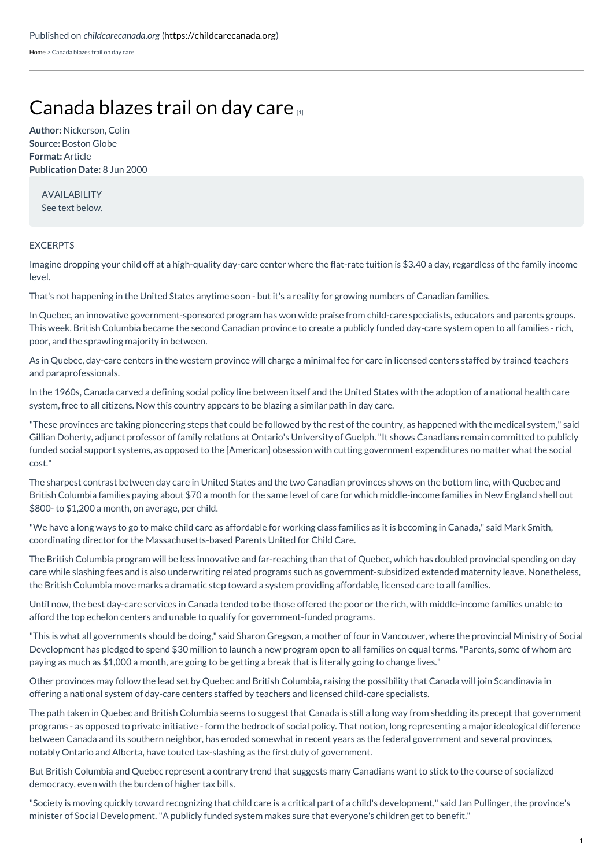[Home](https://childcarecanada.org/) > Canada blazes trail on day care

## [Canada](https://childcarecanada.org/documents/child-care-news/03/06/canada-blazes-trail-day-care) blazes trail on day care [1]

**Author:** Nickerson, Colin **Source:** Boston Globe **Format:** Article **Publication Date:** 8 Jun 2000

> AVAILABILITY See text below.

## EXCERPTS

Imagine dropping your child off at a high-quality day-care center where the flat-rate tuition is \$3.40 a day, regardless of the family income level.

That's not happening in the United States anytime soon - but it's a reality for growing numbers of Canadian families.

In Quebec, an innovative government-sponsored program has won wide praise from child-care specialists, educators and parents groups. This week, British Columbia became the second Canadian province to create a publicly funded day-care system open to all families - rich, poor, and the sprawling majority in between.

As in Quebec, day-care centers in the western province will charge a minimal fee for care in licensed centers staffed by trained teachers and paraprofessionals.

In the 1960s, Canada carved a defining social policy line between itself and the United States with the adoption of a national health care system, free to all citizens. Now this country appears to be blazing a similar path in day care.

"These provinces are taking pioneering steps that could be followed by the rest of the country, as happened with the medical system," said Gillian Doherty, adjunct professor of family relations at Ontario's University of Guelph."It shows Canadians remain committed to publicly funded social support systems, as opposed to the [American] obsession with cutting government expenditures no matter what the social cost."

The sharpest contrast between day care in United States and the two Canadian provinces shows on the bottom line, with Quebec and British Columbia families paying about \$70 a month for the same level of care for which middle-income families in New England shell out \$800- to \$1,200 a month, on average, per child.

"We have a long ways to go to make child care as affordable for working class families as it is becoming in Canada," said Mark Smith, coordinating director for the Massachusetts-based Parents United for Child Care.

The British Columbia program will be less innovative and far-reaching than that of Quebec, which has doubled provincial spending on day care while slashing fees and is also underwriting related programs such as government-subsidized extended maternity leave. Nonetheless, the British Columbia move marks a dramatic step toward a system providing affordable, licensed care to all families.

Until now, the best day-care services in Canada tended to be those offered the poor or the rich, with middle-income families unable to afford the top echelon centers and unable to qualify for government-funded programs.

"This is what all governments should be doing," said Sharon Gregson, a mother of four in Vancouver, where the provincial Ministry of Social Development has pledged to spend \$30 million to launch a new program open to all families on equal terms."Parents, some of whom are paying as much as \$1,000 a month, are going to be getting a break that is literally going to change lives."

Other provinces may follow the lead set by Quebec and British Columbia, raising the possibility that Canada will join Scandinavia in offering a national system of day-care centers staffed by teachers and licensed child-care specialists.

The path taken in Quebec and British Columbia seems to suggest that Canada is still a long way from shedding its precept that government programs - as opposed to private initiative - form the bedrock of social policy. That notion, long representing a major ideological difference between Canada and its southern neighbor, has eroded somewhat in recent years as the federal government and several provinces, notably Ontario and Alberta, have touted tax-slashing as the first duty of government.

But British Columbia and Quebec represent a contrary trend that suggests many Canadians want to stick to the course of socialized democracy, even with the burden of higher tax bills.

"Society is moving quickly toward recognizing that child care is a critical part of a child's development," said Jan Pullinger, the province's minister of Social Development."A publicly funded system makes sure that everyone's children get to benefit."